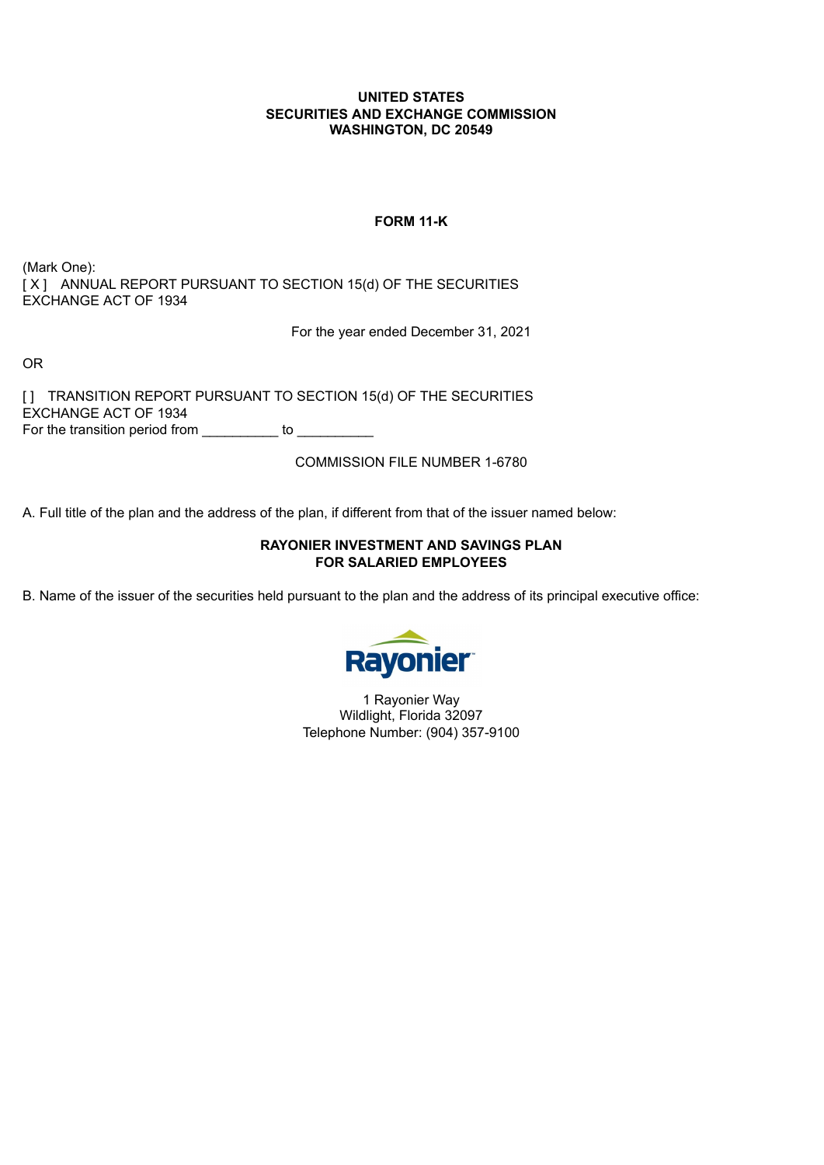### **UNITED STATES SECURITIES AND EXCHANGE COMMISSION WASHINGTON, DC 20549**

## **FORM 11-K**

(Mark One): [X] ANNUAL REPORT PURSUANT TO SECTION 15(d) OF THE SECURITIES EXCHANGE ACT OF 1934

For the year ended December 31, 2021

OR

[] TRANSITION REPORT PURSUANT TO SECTION 15(d) OF THE SECURITIES EXCHANGE ACT OF 1934 For the transition period from \_\_\_\_\_\_\_\_\_ to \_\_\_\_\_\_\_\_\_\_

COMMISSION FILE NUMBER 1-6780

A. Full title of the plan and the address of the plan, if different from that of the issuer named below:

## **RAYONIER INVESTMENT AND SAVINGS PLAN FOR SALARIED EMPLOYEES**

<span id="page-0-0"></span>B. Name of the issuer of the securities held pursuant to the plan and the address of its principal executive office:



1 Rayonier Way Wildlight, Florida 32097 Telephone Number: (904) 357-9100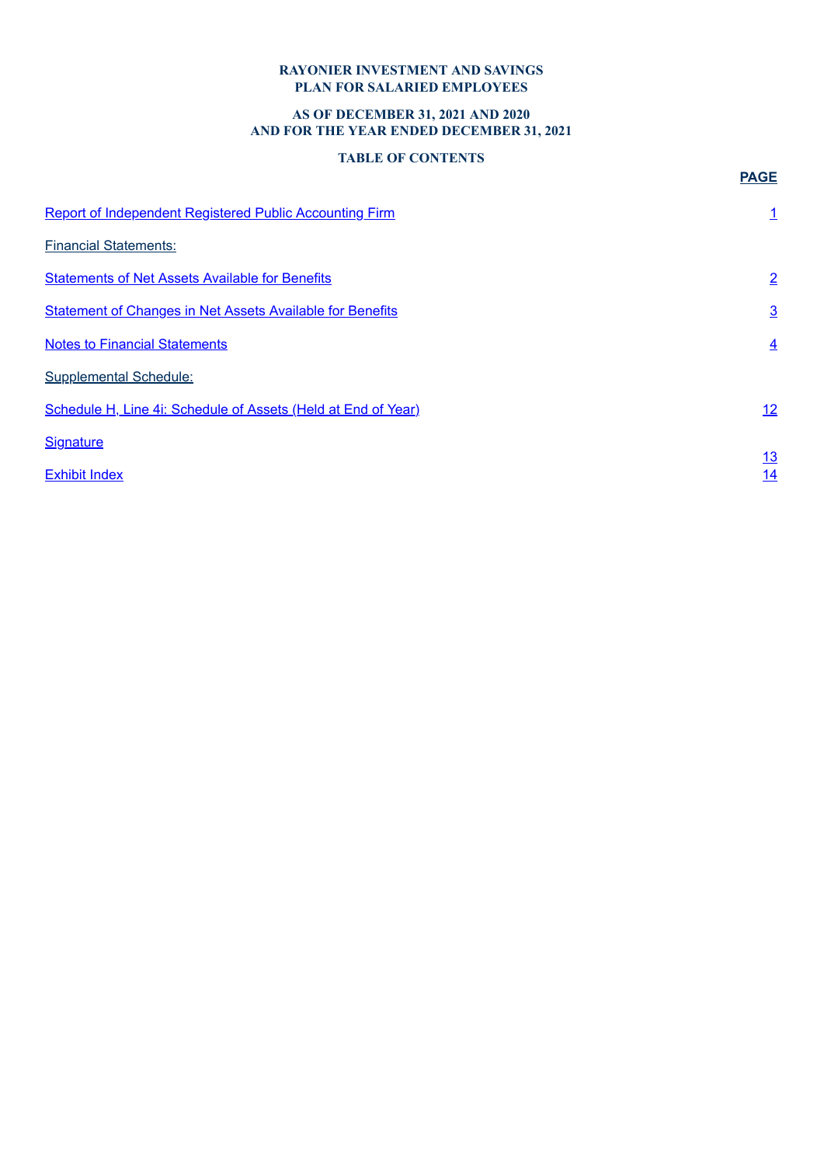## **RAYONIER INVESTMENT AND SAVINGS PLAN FOR SALARIED EMPLOYEES**

## **AS OF DECEMBER 31, 2021 AND 2020 AND FOR THE YEAR ENDED DECEMBER 31, 2021**

## **TABLE OF CONTENTS**

<span id="page-1-0"></span>

|                                                                  | <b>PAGE</b>     |
|------------------------------------------------------------------|-----------------|
| Report of Independent Registered Public Accounting Firm          | $\mathbf{1}$    |
| <b>Financial Statements:</b>                                     |                 |
| <b>Statements of Net Assets Available for Benefits</b>           | $\overline{2}$  |
| <b>Statement of Changes in Net Assets Available for Benefits</b> | $\overline{3}$  |
| <b>Notes to Financial Statements</b>                             | $\overline{4}$  |
| <b>Supplemental Schedule:</b>                                    |                 |
| Schedule H, Line 4i: Schedule of Assets (Held at End of Year)    | 12              |
| <b>Signature</b>                                                 |                 |
| <b>Exhibit Index</b>                                             | <u>13</u><br>14 |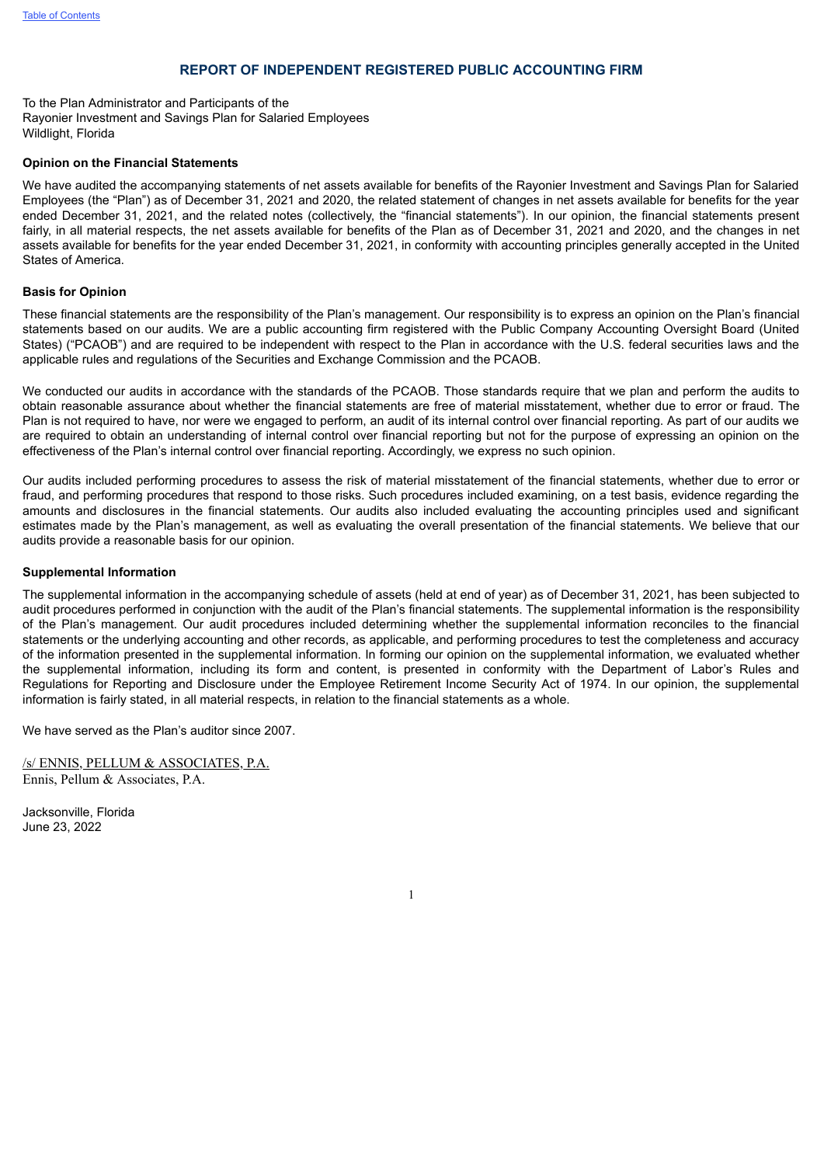#### **REPORT OF INDEPENDENT REGISTERED PUBLIC ACCOUNTING FIRM**

To the Plan Administrator and Participants of the Rayonier Investment and Savings Plan for Salaried Employees Wildlight, Florida

#### **Opinion on the Financial Statements**

We have audited the accompanying statements of net assets available for benefits of the Rayonier Investment and Savings Plan for Salaried Employees (the "Plan") as of December 31, 2021 and 2020, the related statement of changes in net assets available for benefits for the year ended December 31, 2021, and the related notes (collectively, the "financial statements"). In our opinion, the financial statements present fairly, in all material respects, the net assets available for benefits of the Plan as of December 31, 2021 and 2020, and the changes in net assets available for benefits for the year ended December 31, 2021, in conformity with accounting principles generally accepted in the United States of America.

#### **Basis for Opinion**

These financial statements are the responsibility of the Plan's management. Our responsibility is to express an opinion on the Plan's financial statements based on our audits. We are a public accounting firm registered with the Public Company Accounting Oversight Board (United States) ("PCAOB") and are required to be independent with respect to the Plan in accordance with the U.S. federal securities laws and the applicable rules and regulations of the Securities and Exchange Commission and the PCAOB.

We conducted our audits in accordance with the standards of the PCAOB. Those standards require that we plan and perform the audits to obtain reasonable assurance about whether the financial statements are free of material misstatement, whether due to error or fraud. The Plan is not required to have, nor were we engaged to perform, an audit of its internal control over financial reporting. As part of our audits we are required to obtain an understanding of internal control over financial reporting but not for the purpose of expressing an opinion on the effectiveness of the Plan's internal control over financial reporting. Accordingly, we express no such opinion.

Our audits included performing procedures to assess the risk of material misstatement of the financial statements, whether due to error or fraud, and performing procedures that respond to those risks. Such procedures included examining, on a test basis, evidence regarding the amounts and disclosures in the financial statements. Our audits also included evaluating the accounting principles used and significant estimates made by the Plan's management, as well as evaluating the overall presentation of the financial statements. We believe that our audits provide a reasonable basis for our opinion.

#### **Supplemental Information**

The supplemental information in the accompanying schedule of assets (held at end of year) as of December 31, 2021, has been subjected to audit procedures performed in conjunction with the audit of the Plan's financial statements. The supplemental information is the responsibility of the Plan's management. Our audit procedures included determining whether the supplemental information reconciles to the financial statements or the underlying accounting and other records, as applicable, and performing procedures to test the completeness and accuracy of the information presented in the supplemental information. In forming our opinion on the supplemental information, we evaluated whether the supplemental information, including its form and content, is presented in conformity with the Department of Labor's Rules and Regulations for Reporting and Disclosure under the Employee Retirement Income Security Act of 1974. In our opinion, the supplemental information is fairly stated, in all material respects, in relation to the financial statements as a whole.

We have served as the Plan's auditor since 2007.

/s/ ENNIS, PELLUM & ASSOCIATES, P.A. Ennis, Pellum & Associates, P.A.

<span id="page-2-0"></span>Jacksonville, Florida June 23, 2022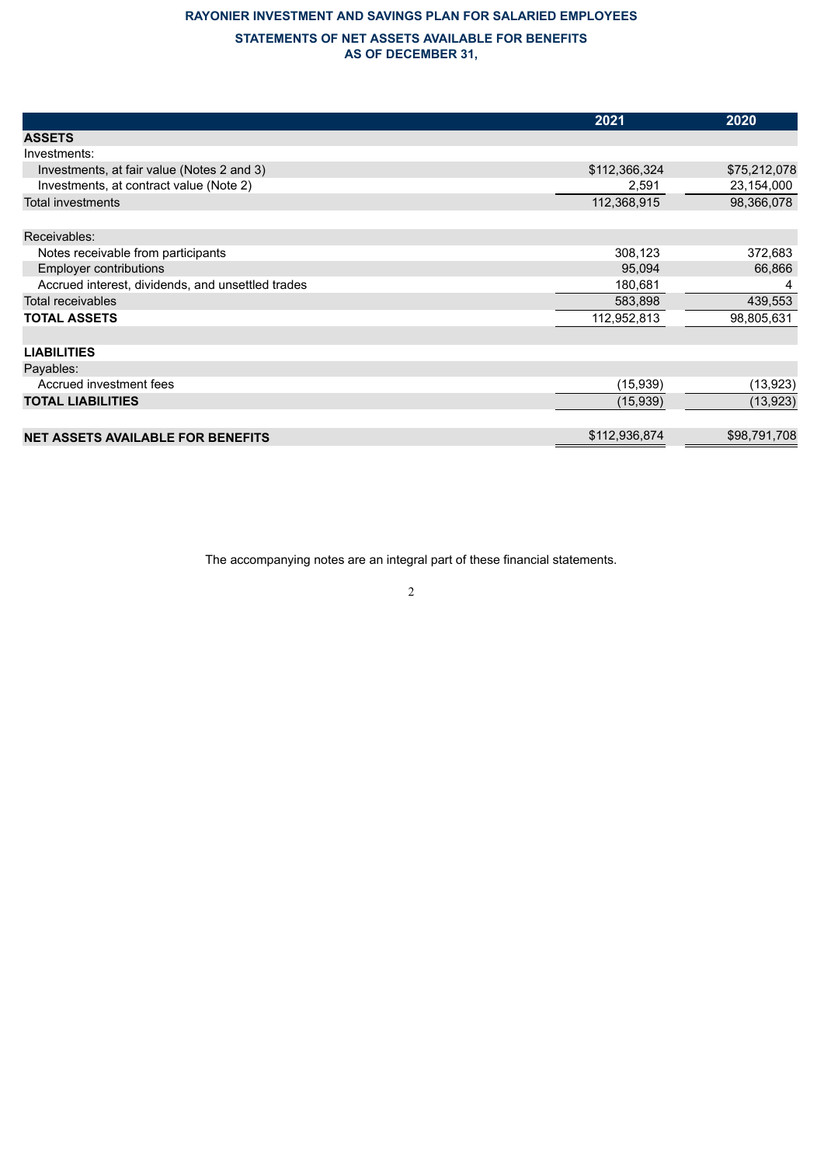## **RAYONIER INVESTMENT AND SAVINGS PLAN FOR SALARIED EMPLOYEES**

### **STATEMENTS OF NET ASSETS AVAILABLE FOR BENEFITS AS OF DECEMBER 31,**

|                                                   | 2021          | 2020         |
|---------------------------------------------------|---------------|--------------|
| <b>ASSETS</b>                                     |               |              |
| Investments:                                      |               |              |
| Investments, at fair value (Notes 2 and 3)        | \$112,366,324 | \$75,212,078 |
| Investments, at contract value (Note 2)           | 2,591         | 23,154,000   |
| <b>Total investments</b>                          | 112,368,915   | 98,366,078   |
|                                                   |               |              |
| Receivables:                                      |               |              |
| Notes receivable from participants                | 308,123       | 372,683      |
| <b>Employer contributions</b>                     | 95,094        | 66,866       |
| Accrued interest, dividends, and unsettled trades | 180,681       | 4            |
| Total receivables                                 | 583,898       | 439,553      |
| <b>TOTAL ASSETS</b>                               | 112,952,813   | 98,805,631   |
|                                                   |               |              |
| <b>LIABILITIES</b>                                |               |              |
| Payables:                                         |               |              |
| Accrued investment fees                           | (15, 939)     | (13, 923)    |
| <b>TOTAL LIABILITIES</b>                          | (15,939)      | (13, 923)    |
|                                                   |               |              |
| <b>NET ASSETS AVAILABLE FOR BENEFITS</b>          | \$112,936,874 | \$98,791,708 |

<span id="page-3-0"></span>The accompanying notes are an integral part of these financial statements.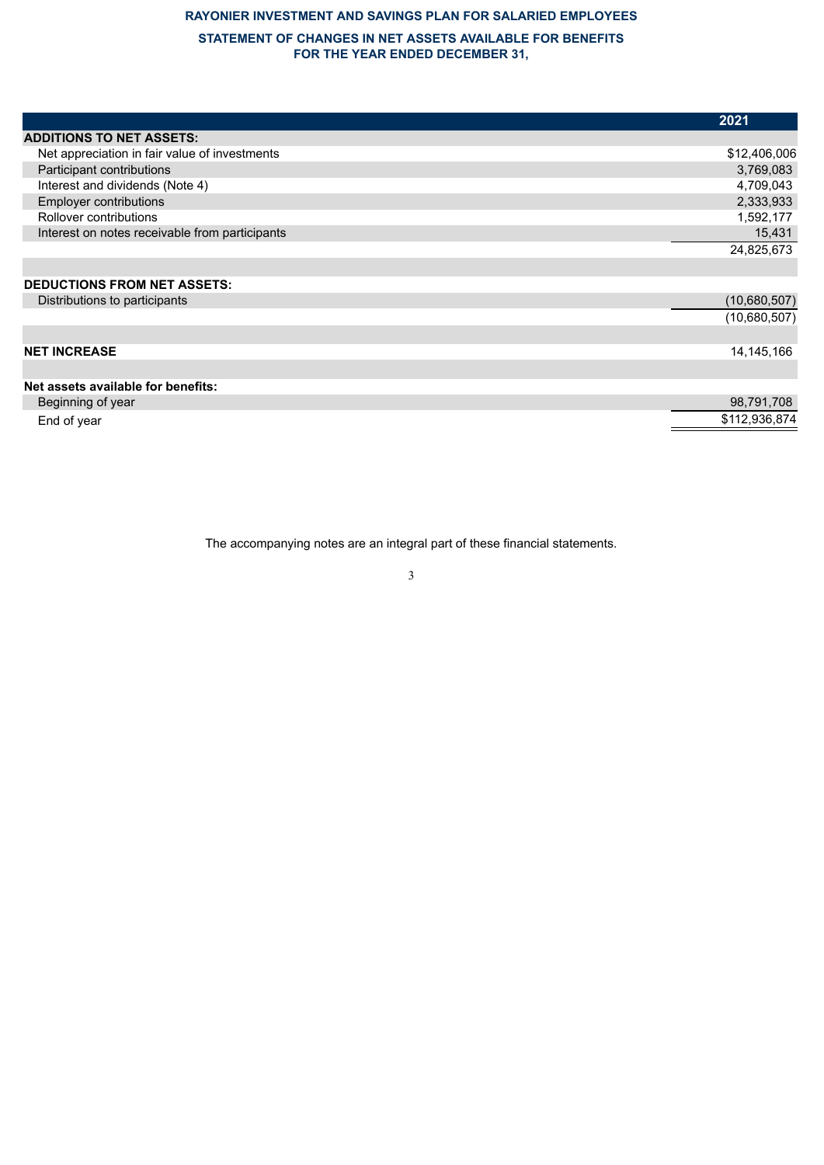# **RAYONIER INVESTMENT AND SAVINGS PLAN FOR SALARIED EMPLOYEES**

## **STATEMENT OF CHANGES IN NET ASSETS AVAILABLE FOR BENEFITS FOR THE YEAR ENDED DECEMBER 31,**

|                                                | 2021          |
|------------------------------------------------|---------------|
| <b>ADDITIONS TO NET ASSETS:</b>                |               |
| Net appreciation in fair value of investments  | \$12,406,006  |
| Participant contributions                      | 3,769,083     |
| Interest and dividends (Note 4)                | 4,709,043     |
| <b>Employer contributions</b>                  | 2,333,933     |
| Rollover contributions                         | 1,592,177     |
| Interest on notes receivable from participants | 15,431        |
|                                                | 24,825,673    |
|                                                |               |
| <b>DEDUCTIONS FROM NET ASSETS:</b>             |               |
| Distributions to participants                  | (10,680,507)  |
|                                                | (10,680,507)  |
|                                                |               |
| <b>NET INCREASE</b>                            | 14,145,166    |
|                                                |               |
| Net assets available for benefits:             |               |
| Beginning of year                              | 98,791,708    |
| End of year                                    | \$112,936,874 |

<span id="page-4-0"></span>The accompanying notes are an integral part of these financial statements.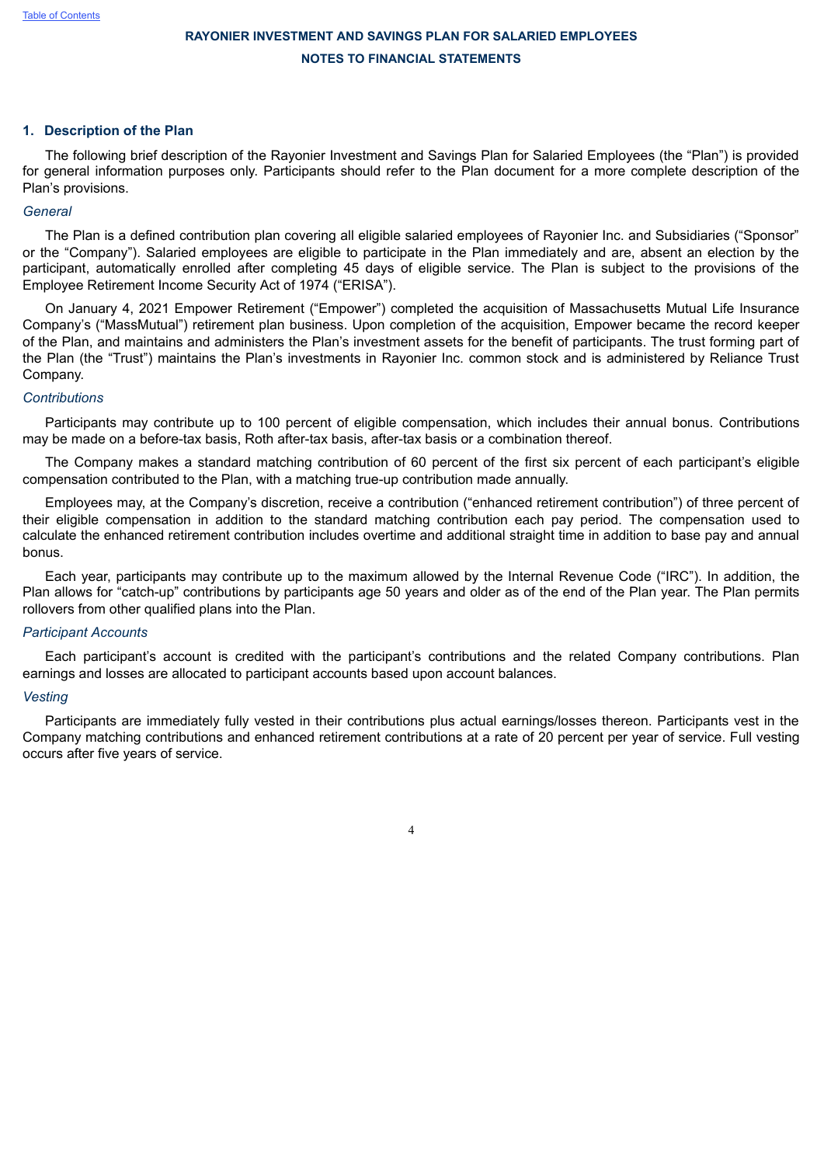#### **1. Description of the Plan**

The following brief description of the Rayonier Investment and Savings Plan for Salaried Employees (the "Plan") is provided for general information purposes only. Participants should refer to the Plan document for a more complete description of the Plan's provisions.

#### *General*

The Plan is a defined contribution plan covering all eligible salaried employees of Rayonier Inc. and Subsidiaries ("Sponsor" or the "Company"). Salaried employees are eligible to participate in the Plan immediately and are, absent an election by the participant, automatically enrolled after completing 45 days of eligible service. The Plan is subject to the provisions of the Employee Retirement Income Security Act of 1974 ("ERISA").

On January 4, 2021 Empower Retirement ("Empower") completed the acquisition of Massachusetts Mutual Life Insurance Company's ("MassMutual") retirement plan business. Upon completion of the acquisition, Empower became the record keeper of the Plan, and maintains and administers the Plan's investment assets for the benefit of participants. The trust forming part of the Plan (the "Trust") maintains the Plan's investments in Rayonier Inc. common stock and is administered by Reliance Trust Company.

#### *Contributions*

Participants may contribute up to 100 percent of eligible compensation, which includes their annual bonus. Contributions may be made on a before-tax basis, Roth after-tax basis, after-tax basis or a combination thereof.

The Company makes a standard matching contribution of 60 percent of the first six percent of each participant's eligible compensation contributed to the Plan, with a matching true-up contribution made annually.

Employees may, at the Company's discretion, receive a contribution ("enhanced retirement contribution") of three percent of their eligible compensation in addition to the standard matching contribution each pay period. The compensation used to calculate the enhanced retirement contribution includes overtime and additional straight time in addition to base pay and annual bonus.

Each year, participants may contribute up to the maximum allowed by the Internal Revenue Code ("IRC"). In addition, the Plan allows for "catch-up" contributions by participants age 50 years and older as of the end of the Plan year. The Plan permits rollovers from other qualified plans into the Plan.

#### *Participant Accounts*

Each participant's account is credited with the participant's contributions and the related Company contributions. Plan earnings and losses are allocated to participant accounts based upon account balances.

#### *Vesting*

Participants are immediately fully vested in their contributions plus actual earnings/losses thereon. Participants vest in the Company matching contributions and enhanced retirement contributions at a rate of 20 percent per year of service. Full vesting occurs after five years of service.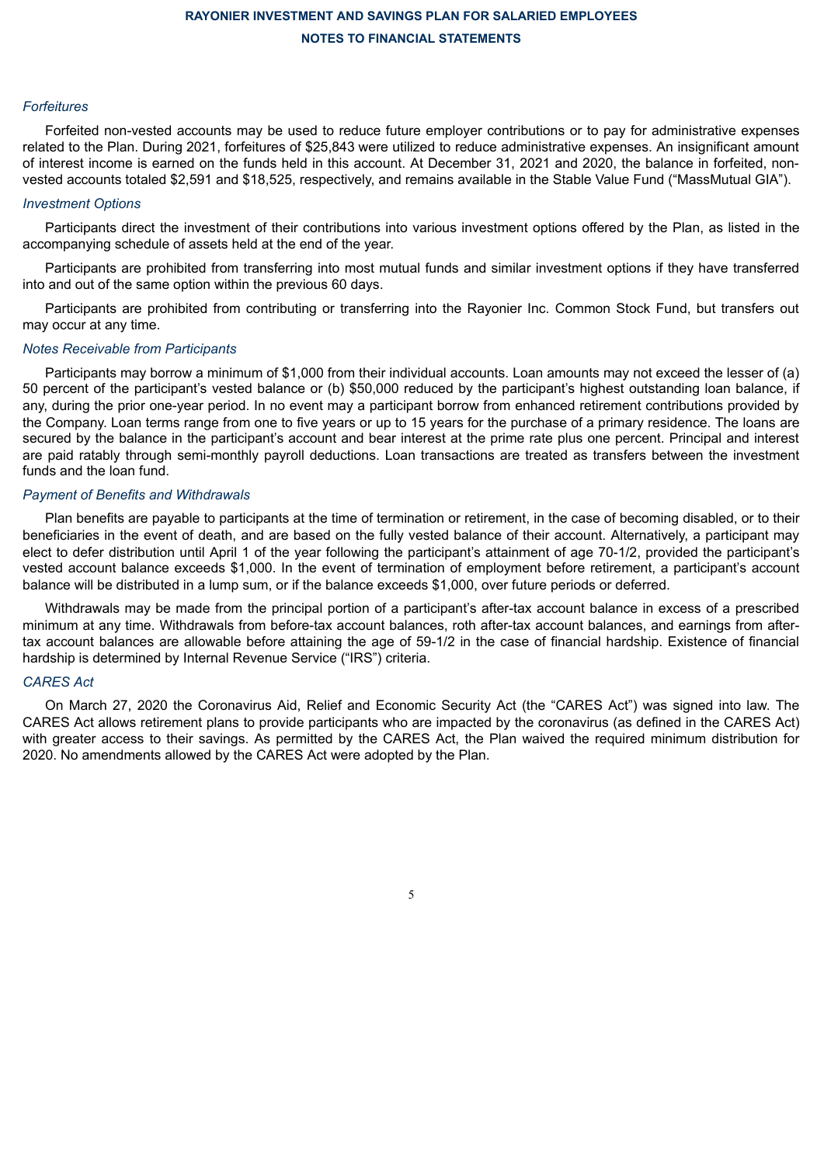#### *Forfeitures*

Forfeited non-vested accounts may be used to reduce future employer contributions or to pay for administrative expenses related to the Plan. During 2021, forfeitures of \$25,843 were utilized to reduce administrative expenses. An insignificant amount of interest income is earned on the funds held in this account. At December 31, 2021 and 2020, the balance in forfeited, nonvested accounts totaled \$2,591 and \$18,525, respectively, and remains available in the Stable Value Fund ("MassMutual GIA").

### *Investment Options*

Participants direct the investment of their contributions into various investment options offered by the Plan, as listed in the accompanying schedule of assets held at the end of the year.

Participants are prohibited from transferring into most mutual funds and similar investment options if they have transferred into and out of the same option within the previous 60 days.

Participants are prohibited from contributing or transferring into the Rayonier Inc. Common Stock Fund, but transfers out may occur at any time.

#### *Notes Receivable from Participants*

Participants may borrow a minimum of \$1,000 from their individual accounts. Loan amounts may not exceed the lesser of (a) 50 percent of the participant's vested balance or (b) \$50,000 reduced by the participant's highest outstanding loan balance, if any, during the prior one-year period. In no event may a participant borrow from enhanced retirement contributions provided by the Company. Loan terms range from one to five years or up to 15 years for the purchase of a primary residence. The loans are secured by the balance in the participant's account and bear interest at the prime rate plus one percent. Principal and interest are paid ratably through semi-monthly payroll deductions. Loan transactions are treated as transfers between the investment funds and the loan fund.

#### *Payment of Benefits and Withdrawals*

Plan benefits are payable to participants at the time of termination or retirement, in the case of becoming disabled, or to their beneficiaries in the event of death, and are based on the fully vested balance of their account. Alternatively, a participant may elect to defer distribution until April 1 of the year following the participant's attainment of age 70-1/2, provided the participant's vested account balance exceeds \$1,000. In the event of termination of employment before retirement, a participant's account balance will be distributed in a lump sum, or if the balance exceeds \$1,000, over future periods or deferred.

Withdrawals may be made from the principal portion of a participant's after-tax account balance in excess of a prescribed minimum at any time. Withdrawals from before-tax account balances, roth after-tax account balances, and earnings from aftertax account balances are allowable before attaining the age of 59-1/2 in the case of financial hardship. Existence of financial hardship is determined by Internal Revenue Service ("IRS") criteria.

### *CARES Act*

On March 27, 2020 the Coronavirus Aid, Relief and Economic Security Act (the "CARES Act") was signed into law. The CARES Act allows retirement plans to provide participants who are impacted by the coronavirus (as defined in the CARES Act) with greater access to their savings. As permitted by the CARES Act, the Plan waived the required minimum distribution for 2020. No amendments allowed by the CARES Act were adopted by the Plan.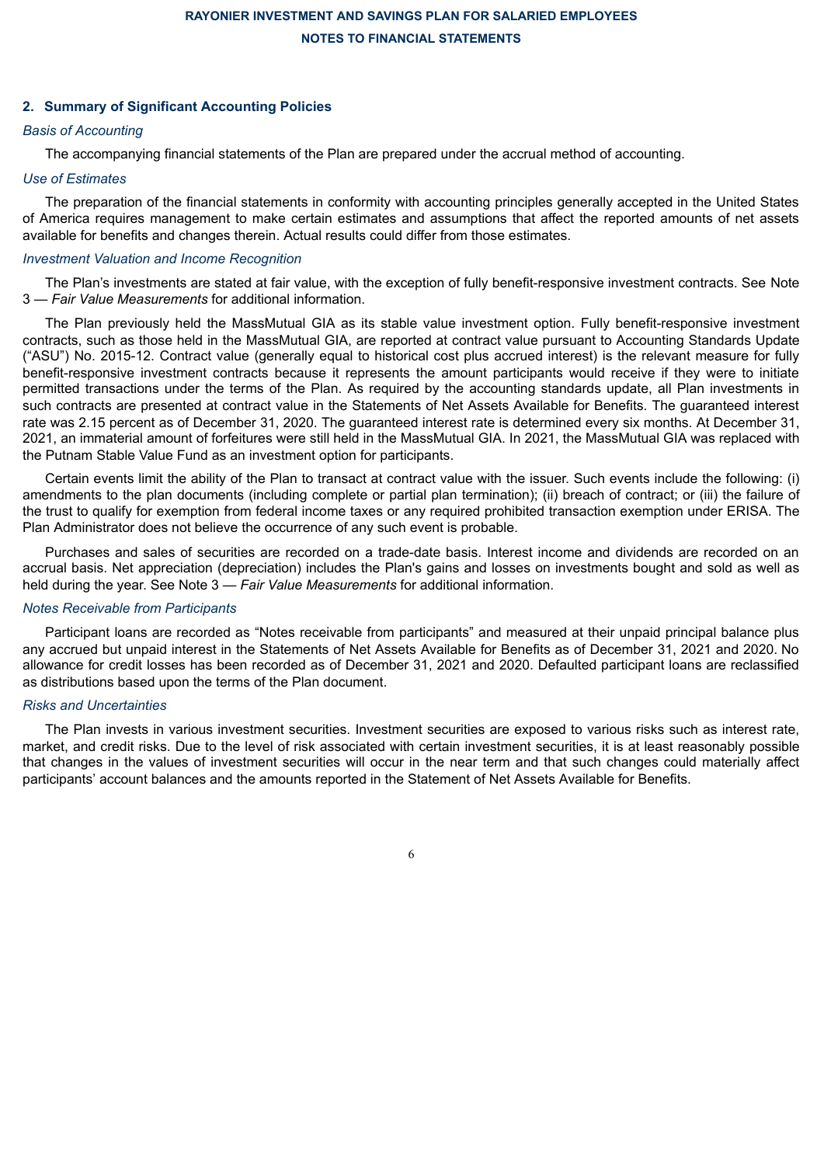### **2. Summary of Significant Accounting Policies**

### *Basis of Accounting*

The accompanying financial statements of the Plan are prepared under the accrual method of accounting.

#### *Use of Estimates*

The preparation of the financial statements in conformity with accounting principles generally accepted in the United States of America requires management to make certain estimates and assumptions that affect the reported amounts of net assets available for benefits and changes therein. Actual results could differ from those estimates.

### *Investment Valuation and Income Recognition*

The Plan's investments are stated at fair value, with the exception of fully benefit-responsive investment contracts. See Note 3 — *Fair Value Measurements* for additional information.

The Plan previously held the MassMutual GIA as its stable value investment option. Fully benefit-responsive investment contracts, such as those held in the MassMutual GIA, are reported at contract value pursuant to Accounting Standards Update ("ASU") No. 2015-12. Contract value (generally equal to historical cost plus accrued interest) is the relevant measure for fully benefit-responsive investment contracts because it represents the amount participants would receive if they were to initiate permitted transactions under the terms of the Plan. As required by the accounting standards update, all Plan investments in such contracts are presented at contract value in the Statements of Net Assets Available for Benefits. The guaranteed interest rate was 2.15 percent as of December 31, 2020. The guaranteed interest rate is determined every six months. At December 31, 2021, an immaterial amount of forfeitures were still held in the MassMutual GIA. In 2021, the MassMutual GIA was replaced with the Putnam Stable Value Fund as an investment option for participants.

Certain events limit the ability of the Plan to transact at contract value with the issuer. Such events include the following: (i) amendments to the plan documents (including complete or partial plan termination); (ii) breach of contract; or (iii) the failure of the trust to qualify for exemption from federal income taxes or any required prohibited transaction exemption under ERISA. The Plan Administrator does not believe the occurrence of any such event is probable.

Purchases and sales of securities are recorded on a trade-date basis. Interest income and dividends are recorded on an accrual basis. Net appreciation (depreciation) includes the Plan's gains and losses on investments bought and sold as well as held during the year. See Note 3 — *Fair Value Measurements* for additional information.

#### *Notes Receivable from Participants*

Participant loans are recorded as "Notes receivable from participants" and measured at their unpaid principal balance plus any accrued but unpaid interest in the Statements of Net Assets Available for Benefits as of December 31, 2021 and 2020. No allowance for credit losses has been recorded as of December 31, 2021 and 2020. Defaulted participant loans are reclassified as distributions based upon the terms of the Plan document.

### *Risks and Uncertainties*

The Plan invests in various investment securities. Investment securities are exposed to various risks such as interest rate, market, and credit risks. Due to the level of risk associated with certain investment securities, it is at least reasonably possible that changes in the values of investment securities will occur in the near term and that such changes could materially affect participants' account balances and the amounts reported in the Statement of Net Assets Available for Benefits.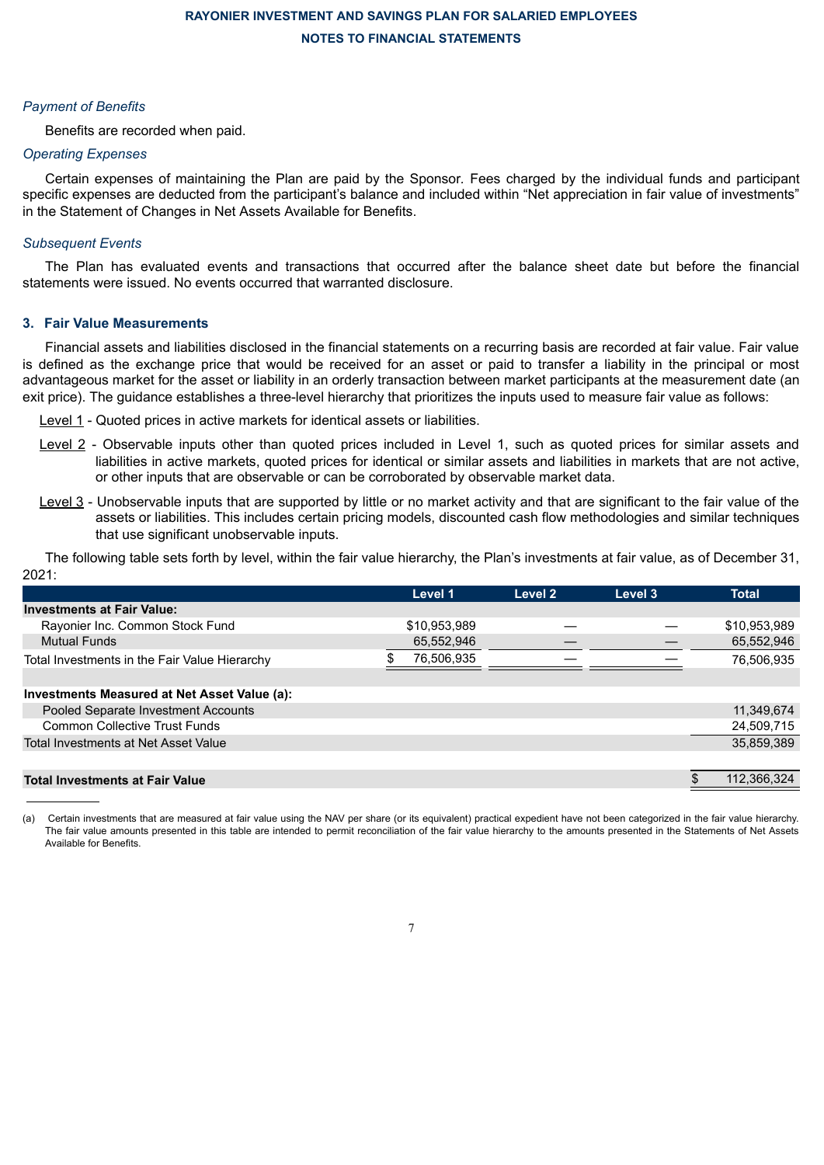#### *Payment of Benefits*

Benefits are recorded when paid.

### *Operating Expenses*

Certain expenses of maintaining the Plan are paid by the Sponsor*.* Fees charged by the individual funds and participant specific expenses are deducted from the participant's balance and included within "Net appreciation in fair value of investments" in the Statement of Changes in Net Assets Available for Benefits.

### *Subsequent Events*

The Plan has evaluated events and transactions that occurred after the balance sheet date but before the financial statements were issued. No events occurred that warranted disclosure.

### **3. Fair Value Measurements**

Financial assets and liabilities disclosed in the financial statements on a recurring basis are recorded at fair value. Fair value is defined as the exchange price that would be received for an asset or paid to transfer a liability in the principal or most advantageous market for the asset or liability in an orderly transaction between market participants at the measurement date (an exit price). The guidance establishes a three-level hierarchy that prioritizes the inputs used to measure fair value as follows:

- Level 1 Quoted prices in active markets for identical assets or liabilities.
- Level 2 Observable inputs other than quoted prices included in Level 1, such as quoted prices for similar assets and liabilities in active markets, quoted prices for identical or similar assets and liabilities in markets that are not active, or other inputs that are observable or can be corroborated by observable market data.
- Level 3 Unobservable inputs that are supported by little or no market activity and that are significant to the fair value of the assets or liabilities. This includes certain pricing models, discounted cash flow methodologies and similar techniques that use significant unobservable inputs.

The following table sets forth by level, within the fair value hierarchy, the Plan's investments at fair value, as of December 31, 2021:

|                                               | Level 1      | Level 2 | Level 3 | <b>Total</b> |
|-----------------------------------------------|--------------|---------|---------|--------------|
| <b>Investments at Fair Value:</b>             |              |         |         |              |
| Rayonier Inc. Common Stock Fund               | \$10,953,989 |         |         | \$10,953,989 |
| <b>Mutual Funds</b>                           | 65,552,946   |         |         | 65,552,946   |
| Total Investments in the Fair Value Hierarchy | 76,506,935   |         |         | 76,506,935   |
|                                               |              |         |         |              |
| Investments Measured at Net Asset Value (a):  |              |         |         |              |
| Pooled Separate Investment Accounts           |              |         |         | 11,349,674   |
| <b>Common Collective Trust Funds</b>          |              |         |         | 24,509,715   |
| Total Investments at Net Asset Value          |              |         |         | 35,859,389   |
|                                               |              |         |         |              |
| <b>Total Investments at Fair Value</b>        |              |         |         | 112,366,324  |

(a) Certain investments that are measured at fair value using the NAV per share (or its equivalent) practical expedient have not been categorized in the fair value hierarchy. The fair value amounts presented in this table are intended to permit reconciliation of the fair value hierarchy to the amounts presented in the Statements of Net Assets Available for Benefits.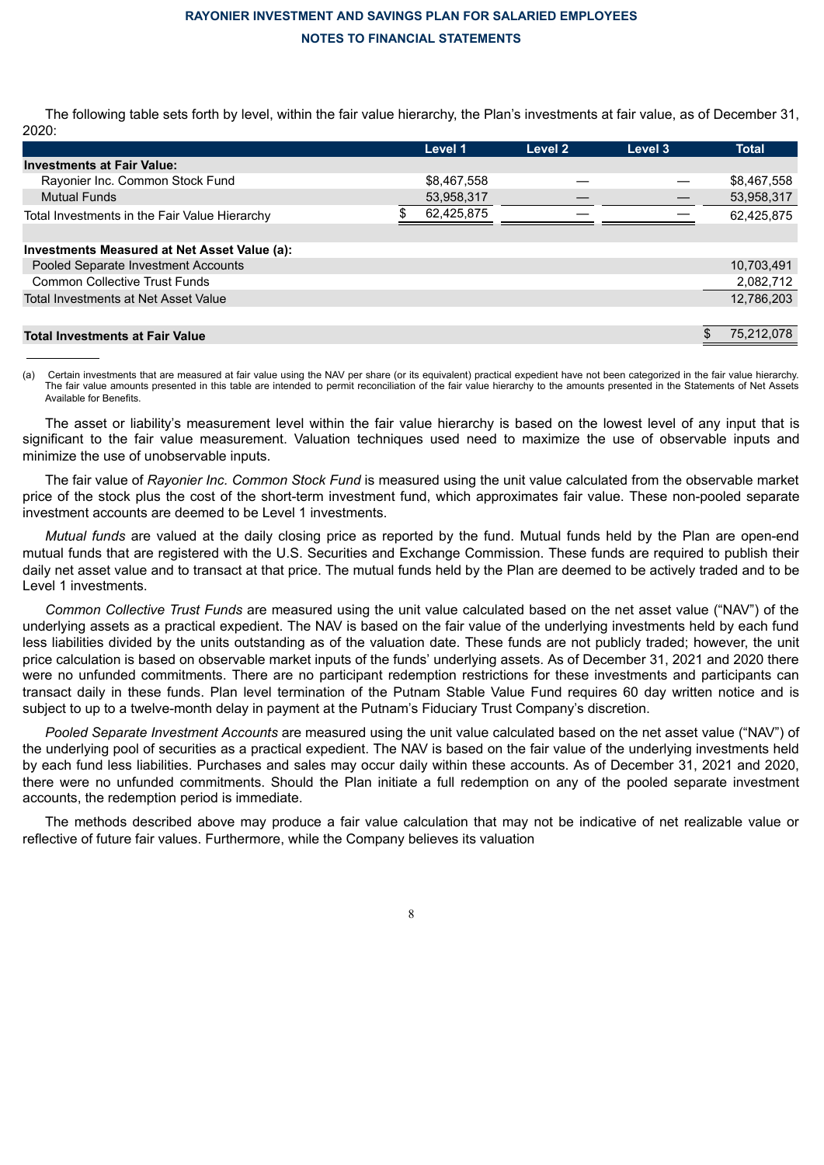The following table sets forth by level, within the fair value hierarchy, the Plan's investments at fair value, as of December 31, 2020:

|                                               | Level 1     | Level 2 | Level 3 |   | <b>Total</b> |
|-----------------------------------------------|-------------|---------|---------|---|--------------|
| <b>Investments at Fair Value:</b>             |             |         |         |   |              |
| Rayonier Inc. Common Stock Fund               | \$8,467,558 |         |         |   | \$8,467,558  |
| <b>Mutual Funds</b>                           | 53,958,317  |         |         |   | 53,958,317   |
| Total Investments in the Fair Value Hierarchy | 62,425,875  |         |         |   | 62,425,875   |
|                                               |             |         |         |   |              |
| Investments Measured at Net Asset Value (a):  |             |         |         |   |              |
| Pooled Separate Investment Accounts           |             |         |         |   | 10,703,491   |
| <b>Common Collective Trust Funds</b>          |             |         |         |   | 2,082,712    |
| Total Investments at Net Asset Value          |             |         |         |   | 12,786,203   |
|                                               |             |         |         |   |              |
| <b>Total Investments at Fair Value</b>        |             |         |         | S | 75.212.078   |

(a) Certain investments that are measured at fair value using the NAV per share (or its equivalent) practical expedient have not been categorized in the fair value hierarchy. The fair value amounts presented in this table are intended to permit reconciliation of the fair value hierarchy to the amounts presented in the Statements of Net Assets Available for Benefits.

The asset or liability's measurement level within the fair value hierarchy is based on the lowest level of any input that is significant to the fair value measurement. Valuation techniques used need to maximize the use of observable inputs and minimize the use of unobservable inputs.

The fair value of *Rayonier Inc. Common Stock Fund* is measured using the unit value calculated from the observable market price of the stock plus the cost of the short-term investment fund, which approximates fair value. These non-pooled separate investment accounts are deemed to be Level 1 investments.

*Mutual funds* are valued at the daily closing price as reported by the fund. Mutual funds held by the Plan are open-end mutual funds that are registered with the U.S. Securities and Exchange Commission. These funds are required to publish their daily net asset value and to transact at that price. The mutual funds held by the Plan are deemed to be actively traded and to be Level 1 investments.

*Common Collective Trust Funds* are measured using the unit value calculated based on the net asset value ("NAV") of the underlying assets as a practical expedient. The NAV is based on the fair value of the underlying investments held by each fund less liabilities divided by the units outstanding as of the valuation date. These funds are not publicly traded; however, the unit price calculation is based on observable market inputs of the funds' underlying assets. As of December 31, 2021 and 2020 there were no unfunded commitments. There are no participant redemption restrictions for these investments and participants can transact daily in these funds. Plan level termination of the Putnam Stable Value Fund requires 60 day written notice and is subject to up to a twelve-month delay in payment at the Putnam's Fiduciary Trust Company's discretion.

*Pooled Separate Investment Accounts* are measured using the unit value calculated based on the net asset value ("NAV") of the underlying pool of securities as a practical expedient. The NAV is based on the fair value of the underlying investments held by each fund less liabilities. Purchases and sales may occur daily within these accounts. As of December 31, 2021 and 2020, there were no unfunded commitments. Should the Plan initiate a full redemption on any of the pooled separate investment accounts, the redemption period is immediate.

The methods described above may produce a fair value calculation that may not be indicative of net realizable value or reflective of future fair values. Furthermore, while the Company believes its valuation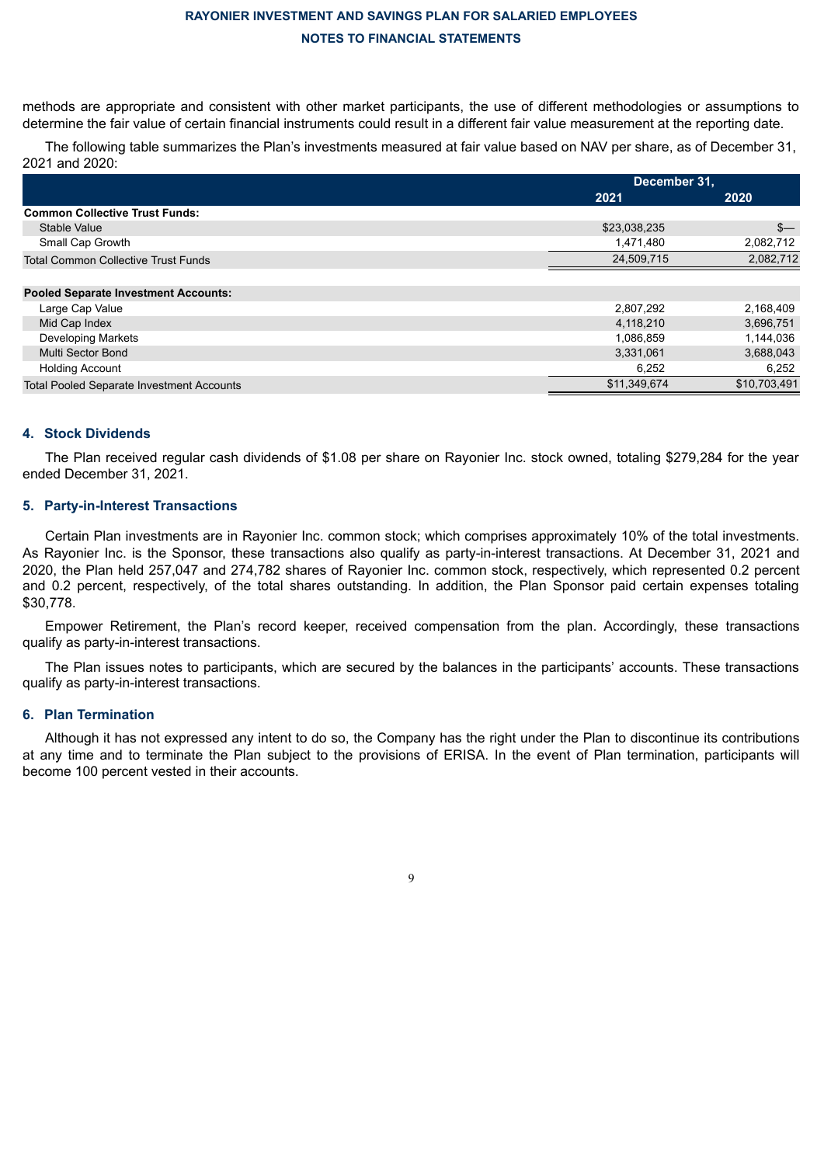methods are appropriate and consistent with other market participants, the use of different methodologies or assumptions to determine the fair value of certain financial instruments could result in a different fair value measurement at the reporting date.

The following table summarizes the Plan's investments measured at fair value based on NAV per share, as of December 31, 2021 and 2020:

|                                                  | December 31, |              |
|--------------------------------------------------|--------------|--------------|
|                                                  | 2021         | 2020         |
| <b>Common Collective Trust Funds:</b>            |              |              |
| Stable Value                                     | \$23,038,235 | $s-$         |
| Small Cap Growth                                 | 1,471,480    | 2,082,712    |
| <b>Total Common Collective Trust Funds</b>       | 24,509,715   | 2,082,712    |
| <b>Pooled Separate Investment Accounts:</b>      |              |              |
| Large Cap Value                                  | 2,807,292    | 2,168,409    |
| Mid Cap Index                                    | 4,118,210    | 3,696,751    |
| Developing Markets                               | 1,086,859    | 1,144,036    |
| Multi Sector Bond                                | 3,331,061    | 3,688,043    |
| <b>Holding Account</b>                           | 6,252        | 6,252        |
| <b>Total Pooled Separate Investment Accounts</b> | \$11,349,674 | \$10,703,491 |

#### **4. Stock Dividends**

The Plan received regular cash dividends of \$1.08 per share on Rayonier Inc. stock owned, totaling \$279,284 for the year ended December 31, 2021.

#### **5. Party-in-Interest Transactions**

Certain Plan investments are in Rayonier Inc. common stock; which comprises approximately 10% of the total investments. As Rayonier Inc. is the Sponsor, these transactions also qualify as party-in-interest transactions. At December 31, 2021 and 2020, the Plan held 257,047 and 274,782 shares of Rayonier Inc. common stock, respectively, which represented 0.2 percent and 0.2 percent, respectively, of the total shares outstanding. In addition, the Plan Sponsor paid certain expenses totaling \$30,778.

Empower Retirement, the Plan's record keeper, received compensation from the plan. Accordingly, these transactions qualify as party-in-interest transactions.

The Plan issues notes to participants, which are secured by the balances in the participants' accounts. These transactions qualify as party-in-interest transactions.

#### **6. Plan Termination**

Although it has not expressed any intent to do so, the Company has the right under the Plan to discontinue its contributions at any time and to terminate the Plan subject to the provisions of ERISA. In the event of Plan termination, participants will become 100 percent vested in their accounts.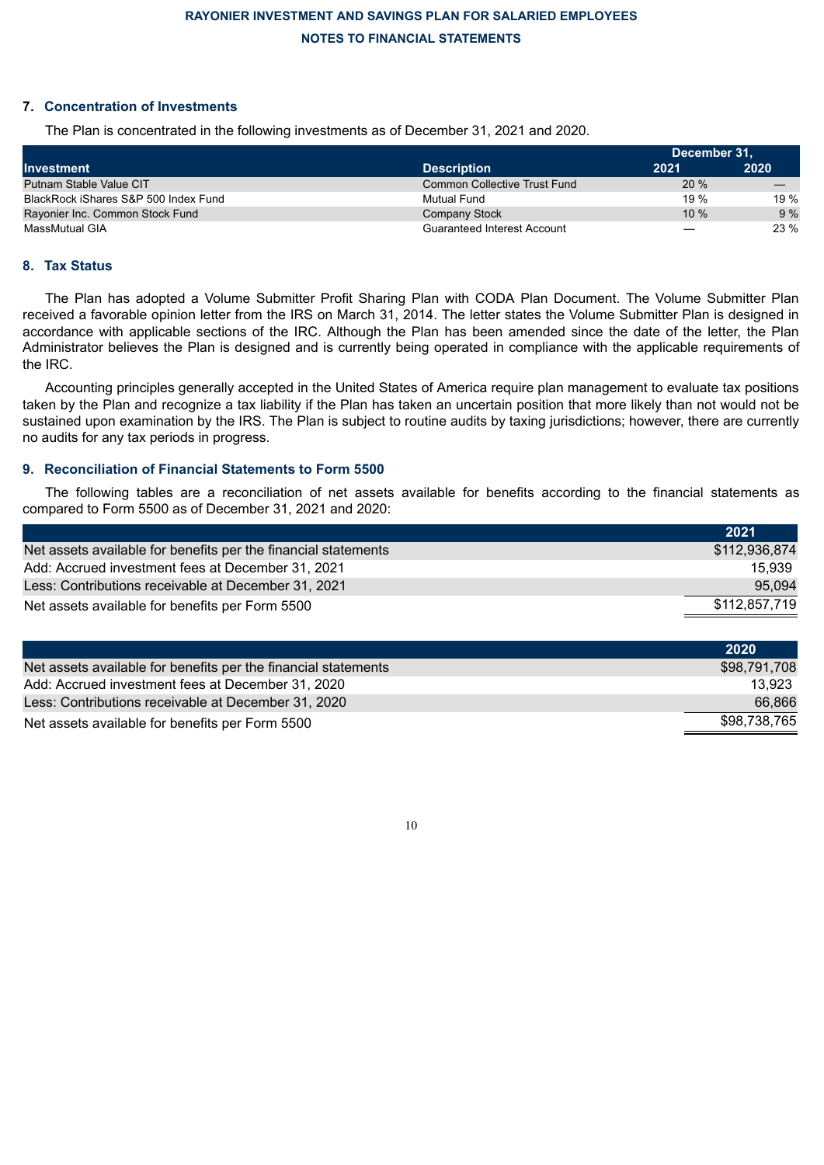## **7. Concentration of Investments**

The Plan is concentrated in the following investments as of December 31, 2021 and 2020.

|                                      |                                     | December 31, |        |
|--------------------------------------|-------------------------------------|--------------|--------|
| <b>Investment</b>                    | <b>Description</b>                  | 2021         | 2020   |
| Putnam Stable Value CIT              | <b>Common Collective Trust Fund</b> | 20%          |        |
| BlackRock iShares S&P 500 Index Fund | Mutual Fund                         | 19%          | 19 $%$ |
| Rayonier Inc. Common Stock Fund      | Company Stock                       | $10\%$       | 9%     |
| <b>MassMutual GIA</b>                | Guaranteed Interest Account         | —            | 23 %   |

### **8. Tax Status**

The Plan has adopted a Volume Submitter Profit Sharing Plan with CODA Plan Document. The Volume Submitter Plan received a favorable opinion letter from the IRS on March 31, 2014. The letter states the Volume Submitter Plan is designed in accordance with applicable sections of the IRC. Although the Plan has been amended since the date of the letter, the Plan Administrator believes the Plan is designed and is currently being operated in compliance with the applicable requirements of the IRC.

Accounting principles generally accepted in the United States of America require plan management to evaluate tax positions taken by the Plan and recognize a tax liability if the Plan has taken an uncertain position that more likely than not would not be sustained upon examination by the IRS. The Plan is subject to routine audits by taxing jurisdictions; however, there are currently no audits for any tax periods in progress.

### **9. Reconciliation of Financial Statements to Form 5500**

The following tables are a reconciliation of net assets available for benefits according to the financial statements as compared to Form 5500 as of December 31, 2021 and 2020:

|                                                                | 2021          |
|----------------------------------------------------------------|---------------|
| Net assets available for benefits per the financial statements | \$112,936,874 |
| Add: Accrued investment fees at December 31, 2021              | 15.939        |
| Less: Contributions receivable at December 31, 2021            | 95.094        |
| Net assets available for benefits per Form 5500                | \$112,857,719 |

|                                                                | 2020         |
|----------------------------------------------------------------|--------------|
| Net assets available for benefits per the financial statements | \$98.791.708 |
| Add: Accrued investment fees at December 31, 2020              | 13.923       |
| Less: Contributions receivable at December 31, 2020            | 66,866       |
| Net assets available for benefits per Form 5500                | \$98.738.765 |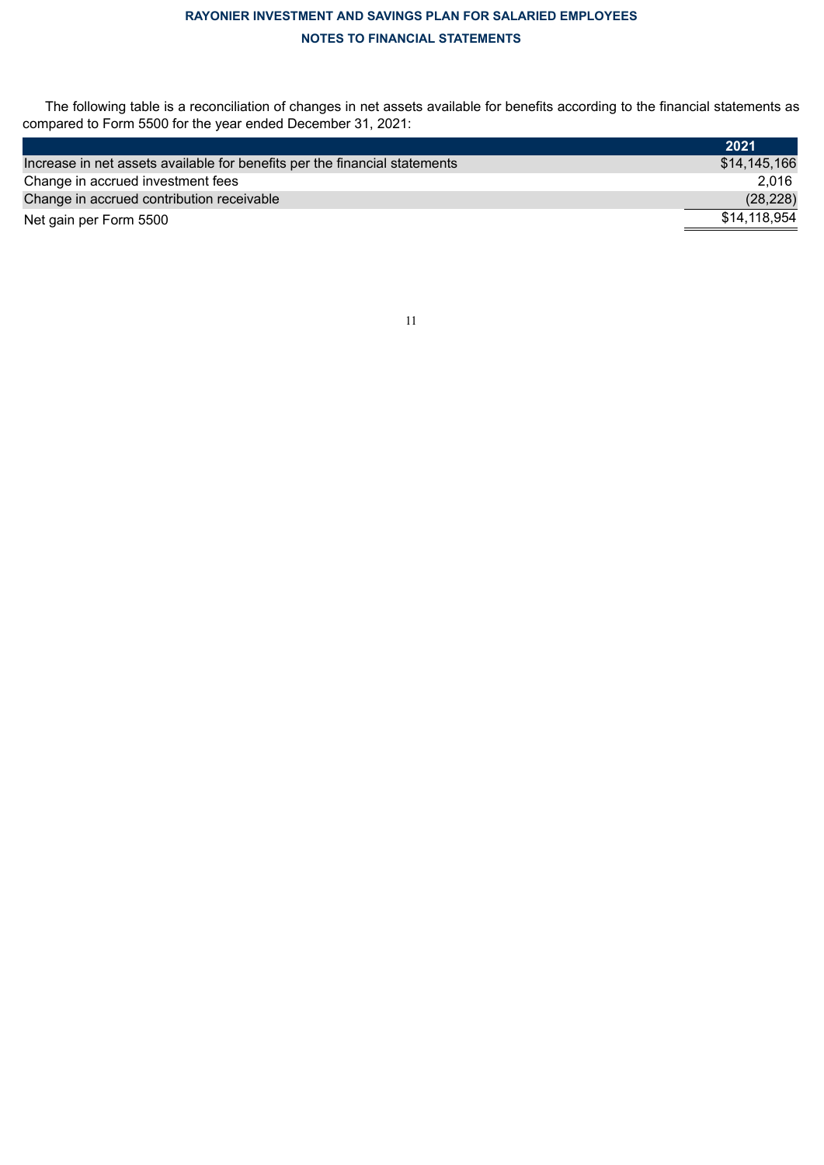The following table is a reconciliation of changes in net assets available for benefits according to the financial statements as compared to Form 5500 for the year ended December 31, 2021:

<span id="page-12-0"></span>

|                                                                            | 2021         |
|----------------------------------------------------------------------------|--------------|
| Increase in net assets available for benefits per the financial statements | \$14,145,166 |
| Change in accrued investment fees                                          | 2.016        |
| Change in accrued contribution receivable                                  | (28, 228)    |
| Net gain per Form 5500                                                     | \$14.118.954 |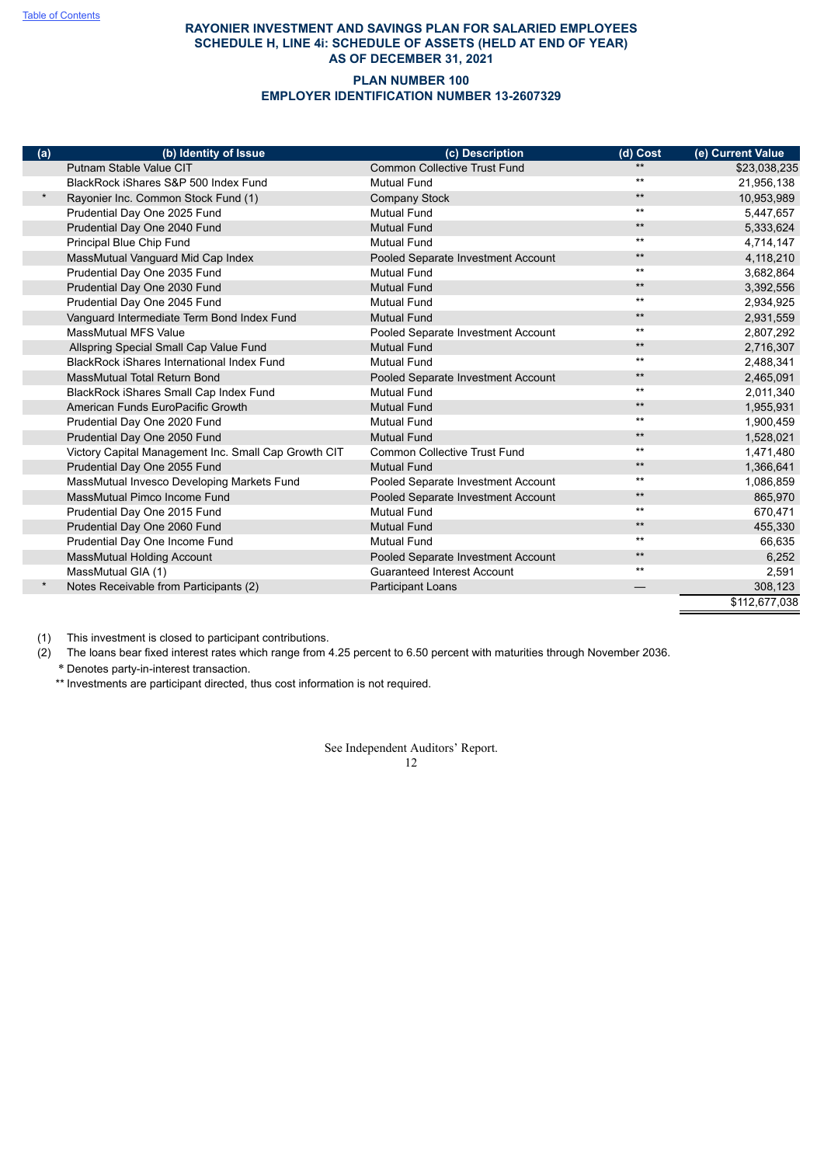### **RAYONIER INVESTMENT AND SAVINGS PLAN FOR SALARIED EMPLOYEES SCHEDULE H, LINE 4i: SCHEDULE OF ASSETS (HELD AT END OF YEAR) AS OF DECEMBER 31, 2021**

#### **PLAN NUMBER 100 EMPLOYER IDENTIFICATION NUMBER 13-2607329**

| (a)     | (b) Identity of Issue                                | (c) Description                     | (d) Cost     | (e) Current Value |
|---------|------------------------------------------------------|-------------------------------------|--------------|-------------------|
|         | Putnam Stable Value CIT                              | <b>Common Collective Trust Fund</b> | $**$         | \$23,038,235      |
|         | BlackRock iShares S&P 500 Index Fund                 | <b>Mutual Fund</b>                  | $***$        | 21,956,138        |
| $\star$ | Rayonier Inc. Common Stock Fund (1)                  | Company Stock                       | $***$        | 10,953,989        |
|         | Prudential Day One 2025 Fund                         | <b>Mutual Fund</b>                  | $***$        | 5,447,657         |
|         | Prudential Day One 2040 Fund                         | <b>Mutual Fund</b>                  | $***$        | 5,333,624         |
|         | Principal Blue Chip Fund                             | <b>Mutual Fund</b>                  | $***$        | 4,714,147         |
|         | MassMutual Vanguard Mid Cap Index                    | Pooled Separate Investment Account  | $\star\star$ | 4,118,210         |
|         | Prudential Day One 2035 Fund                         | <b>Mutual Fund</b>                  | $***$        | 3,682,864         |
|         | Prudential Day One 2030 Fund                         | <b>Mutual Fund</b>                  | $***$        | 3,392,556         |
|         | Prudential Day One 2045 Fund                         | <b>Mutual Fund</b>                  | $***$        | 2,934,925         |
|         | Vanguard Intermediate Term Bond Index Fund           | <b>Mutual Fund</b>                  | $***$        | 2,931,559         |
|         | <b>MassMutual MFS Value</b>                          | Pooled Separate Investment Account  | $***$        | 2,807,292         |
|         | Allspring Special Small Cap Value Fund               | <b>Mutual Fund</b>                  | $***$        | 2,716,307         |
|         | BlackRock iShares International Index Fund           | <b>Mutual Fund</b>                  | $***$        | 2,488,341         |
|         | <b>MassMutual Total Return Bond</b>                  | Pooled Separate Investment Account  | $\star\star$ | 2,465,091         |
|         | BlackRock iShares Small Cap Index Fund               | <b>Mutual Fund</b>                  | $***$        | 2,011,340         |
|         | American Funds EuroPacific Growth                    | <b>Mutual Fund</b>                  | $***$        | 1,955,931         |
|         | Prudential Day One 2020 Fund                         | <b>Mutual Fund</b>                  | $***$        | 1,900,459         |
|         | Prudential Day One 2050 Fund                         | <b>Mutual Fund</b>                  | $***$        | 1,528,021         |
|         | Victory Capital Management Inc. Small Cap Growth CIT | <b>Common Collective Trust Fund</b> | $***$        | 1,471,480         |
|         | Prudential Day One 2055 Fund                         | <b>Mutual Fund</b>                  | $***$        | 1,366,641         |
|         | MassMutual Invesco Developing Markets Fund           | Pooled Separate Investment Account  | $***$        | 1,086,859         |
|         | MassMutual Pimco Income Fund                         | Pooled Separate Investment Account  | $***$        | 865,970           |
|         | Prudential Day One 2015 Fund                         | <b>Mutual Fund</b>                  | $***$        | 670,471           |
|         | Prudential Day One 2060 Fund                         | <b>Mutual Fund</b>                  | $***$        | 455,330           |
|         | Prudential Day One Income Fund                       | <b>Mutual Fund</b>                  | $***$        | 66,635            |
|         | MassMutual Holding Account                           | Pooled Separate Investment Account  | $***$        | 6,252             |
|         | MassMutual GIA (1)                                   | <b>Guaranteed Interest Account</b>  | $***$        | 2,591             |
|         | Notes Receivable from Participants (2)               | Participant Loans                   |              | 308,123           |
|         |                                                      |                                     |              | \$112,677,038     |

(1) This investment is closed to participant contributions.

(2) The loans bear fixed interest rates which range from 4.25 percent to 6.50 percent with maturities through November 2036.

\* Denotes party-in-interest transaction.

<span id="page-13-0"></span>\*\* Investments are participant directed, thus cost information is not required.

See Independent Auditors' Report.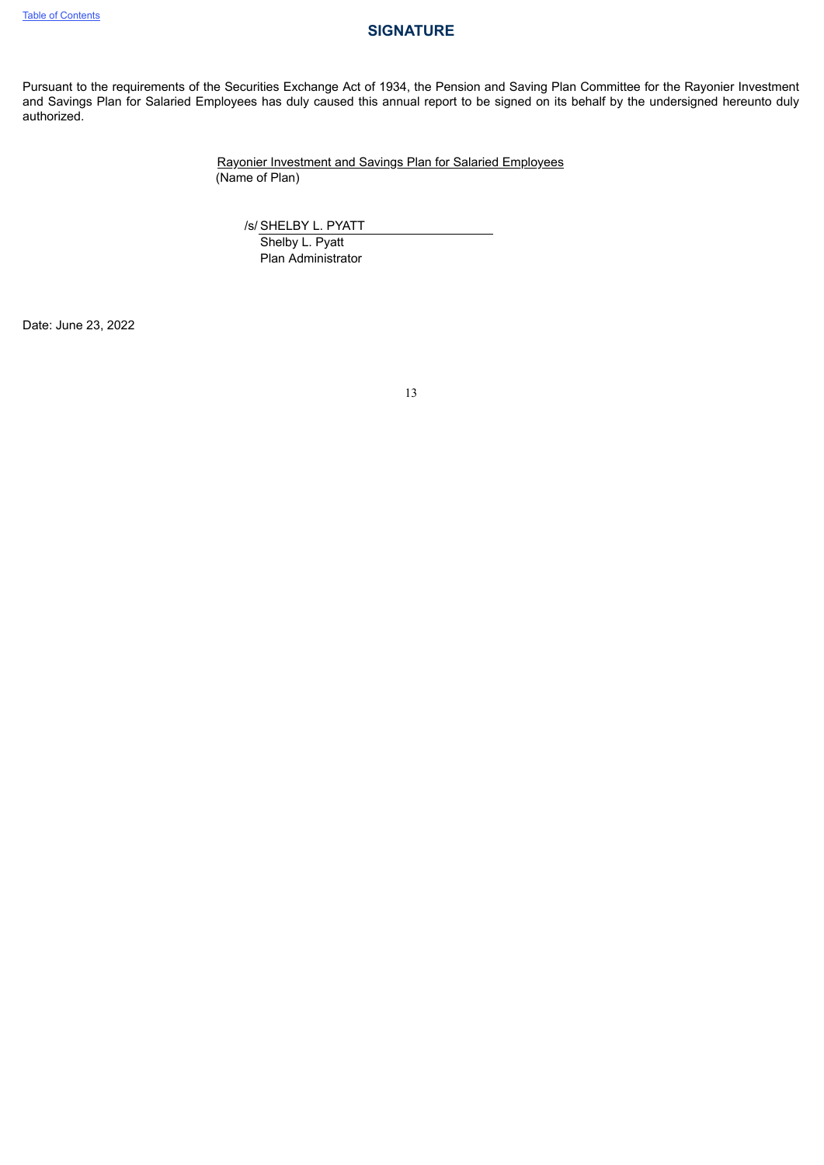## **SIGNATURE**

Pursuant to the requirements of the Securities Exchange Act of 1934, the Pension and Saving Plan Committee for the Rayonier Investment and Savings Plan for Salaried Employees has duly caused this annual report to be signed on its behalf by the undersigned hereunto duly authorized.

> Rayonier Investment and Savings Plan for Salaried Employees (Name of Plan)

/s/ SHELBY L. PYATT

Shelby L. Pyatt Plan Administrator

<span id="page-14-0"></span>Date: June 23, 2022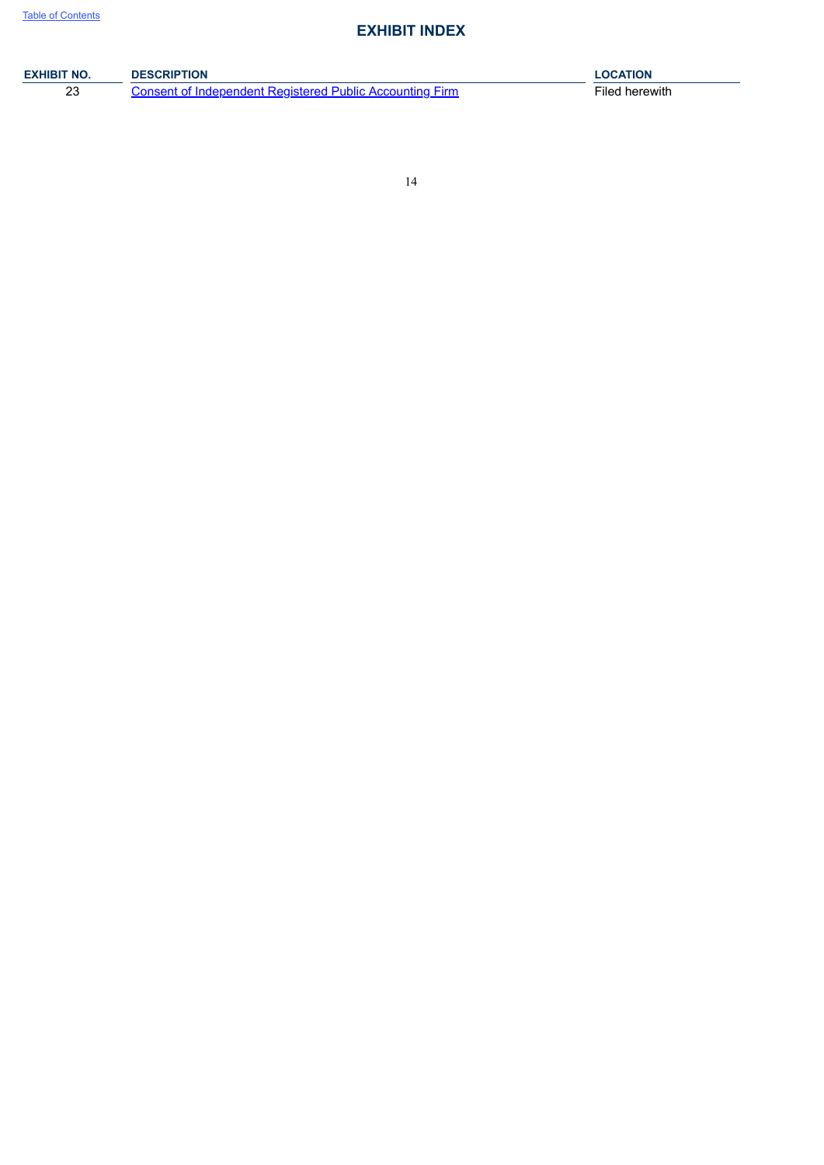# **EXHIBIT INDEX**

| <b>EXHIBIT NO.</b> | <b>DESCRIPTION</b>                                       | <b>LOCATION</b> |
|--------------------|----------------------------------------------------------|-----------------|
| ົ<br>ںے            | Consent of Independent Registered Public Accounting Firm | Filed herewith  |